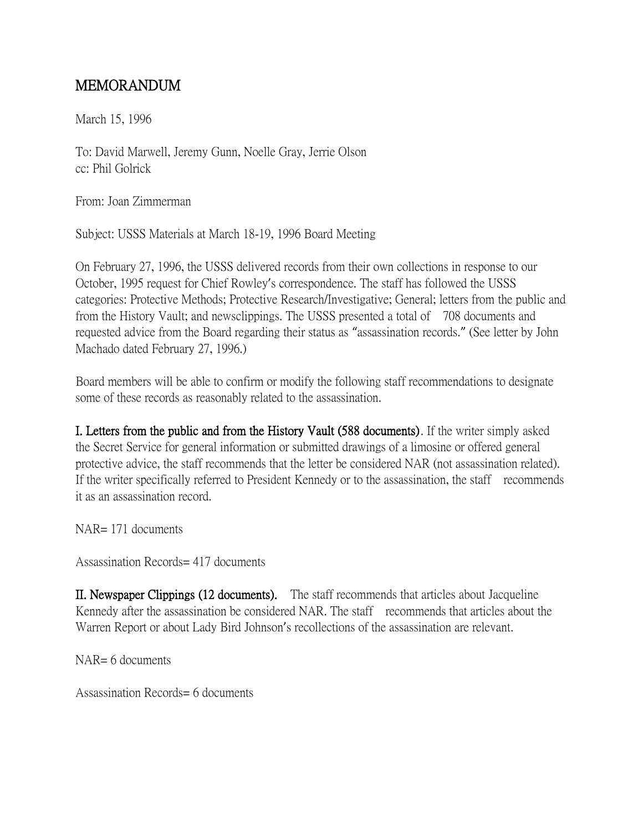## MEMORANDUM

March 15, 1996

To: David Marwell, Jeremy Gunn, Noelle Gray, Jerrie Olson cc: Phil Golrick

From: Joan Zimmerman

Subject: USSS Materials at March 18-19, 1996 Board Meeting

On February 27, 1996, the USSS delivered records from their own collections in response to our October, 1995 request for Chief Rowley's correspondence. The staff has followed the USSS categories: Protective Methods; Protective Research/Investigative; General; letters from the public and from the History Vault; and newsclippings. The USSS presented a total of 708 documents and requested advice from the Board regarding their status as "assassination records." (See letter by John Machado dated February 27, 1996.)

Board members will be able to confirm or modify the following staff recommendations to designate some of these records as reasonably related to the assassination.

I. Letters from the public and from the History Vault (588 documents). If the writer simply asked the Secret Service for general information or submitted drawings of a limosine or offered general protective advice, the staff recommends that the letter be considered NAR (not assassination related). If the writer specifically referred to President Kennedy or to the assassination, the staff recommends it as an assassination record.

NAR= 171 documents

Assassination Records= 417 documents

II. Newspaper Clippings (12 documents). The staff recommends that articles about Jacqueline Kennedy after the assassination be considered NAR. The staff recommends that articles about the Warren Report or about Lady Bird Johnson's recollections of the assassination are relevant.

NAR= 6 documents

Assassination Records= 6 documents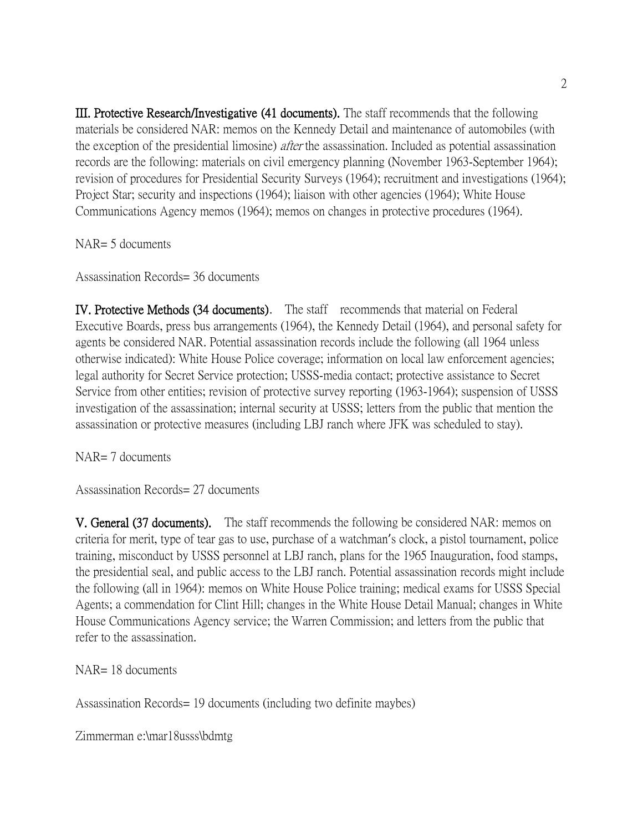III. Protective Research/Investigative (41 documents). The staff recommends that the following materials be considered NAR: memos on the Kennedy Detail and maintenance of automobiles (with the exception of the presidential limosine) *after* the assassination. Included as potential assassination records are the following: materials on civil emergency planning (November 1963-September 1964); revision of procedures for Presidential Security Surveys (1964); recruitment and investigations (1964); Project Star; security and inspections (1964); liaison with other agencies (1964); White House Communications Agency memos (1964); memos on changes in protective procedures (1964).

NAR= 5 documents

Assassination Records= 36 documents

IV. Protective Methods (34 documents). The staff recommends that material on Federal Executive Boards, press bus arrangements (1964), the Kennedy Detail (1964), and personal safety for agents be considered NAR. Potential assassination records include the following (all 1964 unless otherwise indicated): White House Police coverage; information on local law enforcement agencies; legal authority for Secret Service protection; USSS-media contact; protective assistance to Secret Service from other entities; revision of protective survey reporting (1963-1964); suspension of USSS investigation of the assassination; internal security at USSS; letters from the public that mention the assassination or protective measures (including LBJ ranch where JFK was scheduled to stay).

NAR= 7 documents

Assassination Records= 27 documents

V. General (37 documents). The staff recommends the following be considered NAR: memos on criteria for merit, type of tear gas to use, purchase of a watchman's clock, a pistol tournament, police training, misconduct by USSS personnel at LBJ ranch, plans for the 1965 Inauguration, food stamps, the presidential seal, and public access to the LBJ ranch. Potential assassination records might include the following (all in 1964): memos on White House Police training; medical exams for USSS Special Agents; a commendation for Clint Hill; changes in the White House Detail Manual; changes in White House Communications Agency service; the Warren Commission; and letters from the public that refer to the assassination.

NAR= 18 documents

Assassination Records= 19 documents (including two definite maybes)

Zimmerman e:\mar18usss\bdmtg